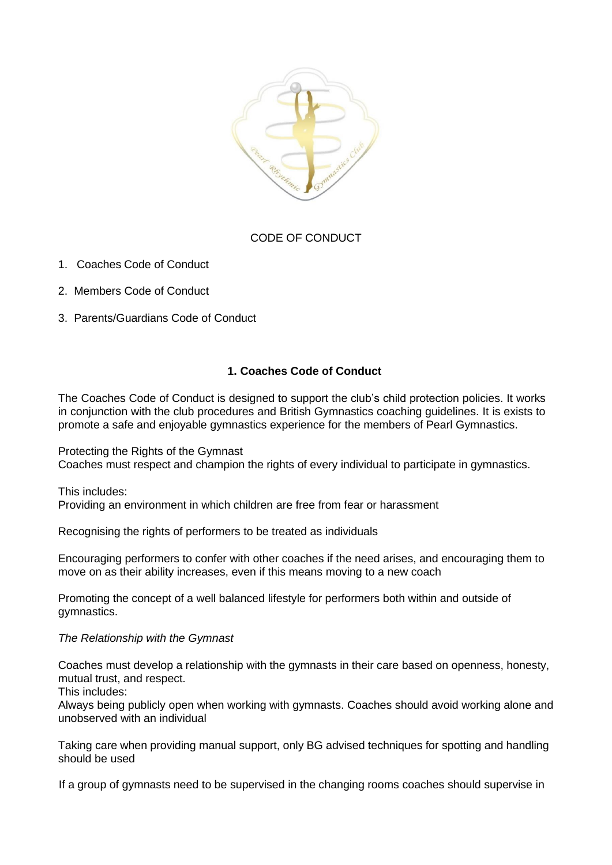

# CODE OF CONDUCT

- 1. Coaches Code of Conduct
- 2. Members Code of Conduct
- 3. Parents/Guardians Code of Conduct

# **1. Coaches Code of Conduct**

The Coaches Code of Conduct is designed to support the club's child protection policies. It works in conjunction with the club procedures and British Gymnastics coaching guidelines. It is exists to promote a safe and enjoyable gymnastics experience for the members of Pearl Gymnastics.

Protecting the Rights of the Gymnast Coaches must respect and champion the rights of every individual to participate in gymnastics.

This includes: Providing an environment in which children are free from fear or harassment

Recognising the rights of performers to be treated as individuals

Encouraging performers to confer with other coaches if the need arises, and encouraging them to move on as their ability increases, even if this means moving to a new coach

Promoting the concept of a well balanced lifestyle for performers both within and outside of gymnastics.

### *The Relationship with the Gymnast*

Coaches must develop a relationship with the gymnasts in their care based on openness, honesty, mutual trust, and respect.

This includes:

Always being publicly open when working with gymnasts. Coaches should avoid working alone and unobserved with an individual

Taking care when providing manual support, only BG advised techniques for spotting and handling should be used

If a group of gymnasts need to be supervised in the changing rooms coaches should supervise in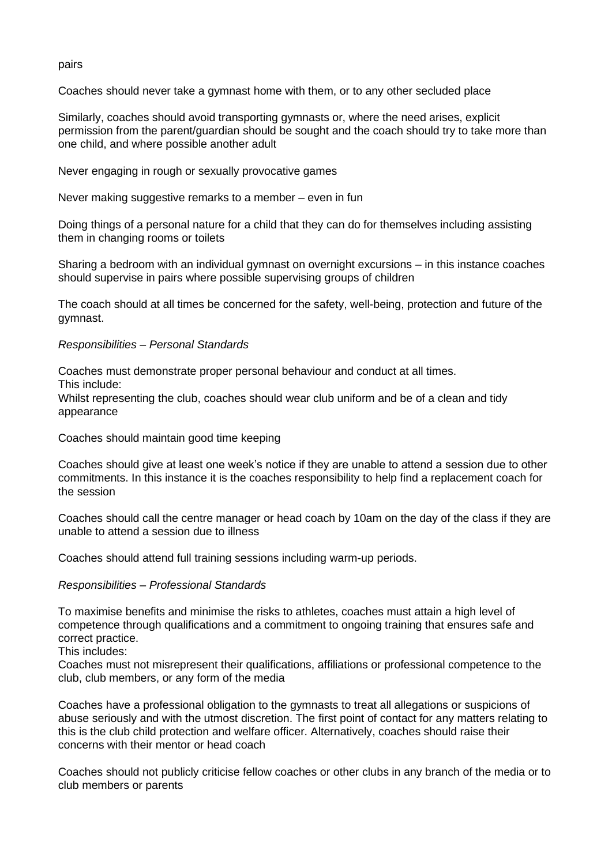#### pairs

Coaches should never take a gymnast home with them, or to any other secluded place

Similarly, coaches should avoid transporting gymnasts or, where the need arises, explicit permission from the parent/guardian should be sought and the coach should try to take more than one child, and where possible another adult

Never engaging in rough or sexually provocative games

Never making suggestive remarks to a member – even in fun

Doing things of a personal nature for a child that they can do for themselves including assisting them in changing rooms or toilets

Sharing a bedroom with an individual gymnast on overnight excursions – in this instance coaches should supervise in pairs where possible supervising groups of children

The coach should at all times be concerned for the safety, well-being, protection and future of the gymnast.

#### *Responsibilities – Personal Standards*

Coaches must demonstrate proper personal behaviour and conduct at all times.

This include:

Whilst representing the club, coaches should wear club uniform and be of a clean and tidy appearance

Coaches should maintain good time keeping

Coaches should give at least one week's notice if they are unable to attend a session due to other commitments. In this instance it is the coaches responsibility to help find a replacement coach for the session

Coaches should call the centre manager or head coach by 10am on the day of the class if they are unable to attend a session due to illness

Coaches should attend full training sessions including warm-up periods.

### *Responsibilities – Professional Standards*

To maximise benefits and minimise the risks to athletes, coaches must attain a high level of competence through qualifications and a commitment to ongoing training that ensures safe and correct practice.

This includes:

Coaches must not misrepresent their qualifications, affiliations or professional competence to the club, club members, or any form of the media

Coaches have a professional obligation to the gymnasts to treat all allegations or suspicions of abuse seriously and with the utmost discretion. The first point of contact for any matters relating to this is the club child protection and welfare officer. Alternatively, coaches should raise their concerns with their mentor or head coach

Coaches should not publicly criticise fellow coaches or other clubs in any branch of the media or to club members or parents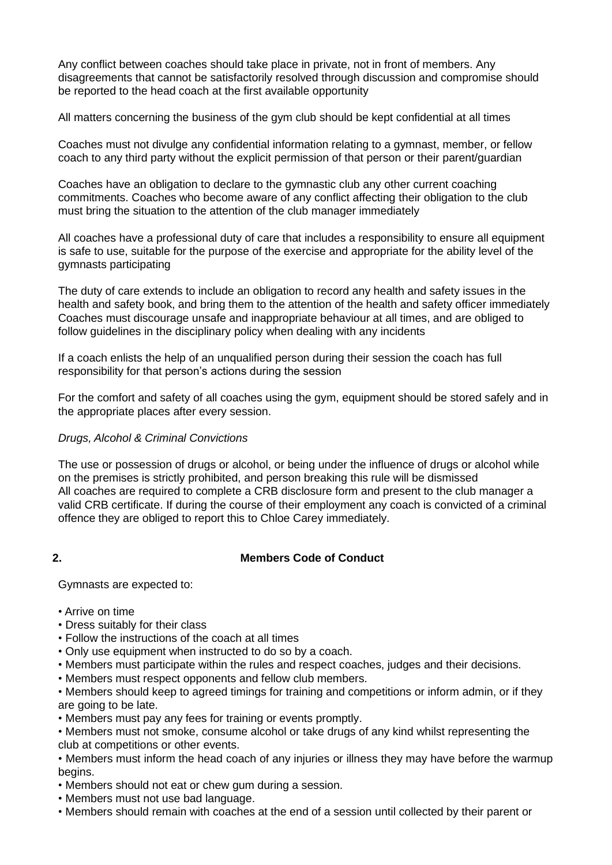Any conflict between coaches should take place in private, not in front of members. Any disagreements that cannot be satisfactorily resolved through discussion and compromise should be reported to the head coach at the first available opportunity

All matters concerning the business of the gym club should be kept confidential at all times

Coaches must not divulge any confidential information relating to a gymnast, member, or fellow coach to any third party without the explicit permission of that person or their parent/guardian

Coaches have an obligation to declare to the gymnastic club any other current coaching commitments. Coaches who become aware of any conflict affecting their obligation to the club must bring the situation to the attention of the club manager immediately

All coaches have a professional duty of care that includes a responsibility to ensure all equipment is safe to use, suitable for the purpose of the exercise and appropriate for the ability level of the gymnasts participating

The duty of care extends to include an obligation to record any health and safety issues in the health and safety book, and bring them to the attention of the health and safety officer immediately Coaches must discourage unsafe and inappropriate behaviour at all times, and are obliged to follow guidelines in the disciplinary policy when dealing with any incidents

If a coach enlists the help of an unqualified person during their session the coach has full responsibility for that person's actions during the session

For the comfort and safety of all coaches using the gym, equipment should be stored safely and in the appropriate places after every session.

### *Drugs, Alcohol & Criminal Convictions*

The use or possession of drugs or alcohol, or being under the influence of drugs or alcohol while on the premises is strictly prohibited, and person breaking this rule will be dismissed All coaches are required to complete a CRB disclosure form and present to the club manager a valid CRB certificate. If during the course of their employment any coach is convicted of a criminal offence they are obliged to report this to Chloe Carey immediately.

### **2. Members Code of Conduct**

Gymnasts are expected to:

- Arrive on time
- Dress suitably for their class
- Follow the instructions of the coach at all times
- Only use equipment when instructed to do so by a coach.
- Members must participate within the rules and respect coaches, judges and their decisions.
- Members must respect opponents and fellow club members.

• Members should keep to agreed timings for training and competitions or inform admin, or if they are going to be late.

• Members must pay any fees for training or events promptly.

• Members must not smoke, consume alcohol or take drugs of any kind whilst representing the club at competitions or other events.

• Members must inform the head coach of any injuries or illness they may have before the warmup begins.

- Members should not eat or chew gum during a session.
- Members must not use bad language.
- Members should remain with coaches at the end of a session until collected by their parent or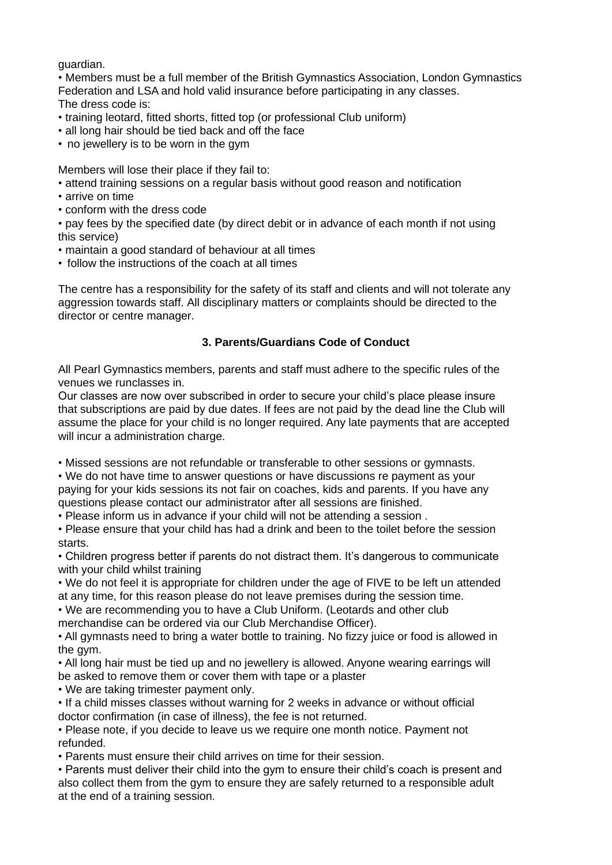guardian.

• Members must be a full member of the British Gymnastics Association, London Gymnastics Federation and LSA and hold valid insurance before participating in any classes. The dress code is:

- training leotard, fitted shorts, fitted top (or professional Club uniform)
- all long hair should be tied back and off the face
- no jewellery is to be worn in the gym

Members will lose their place if they fail to:

- attend training sessions on a regular basis without good reason and notification
- arrive on time
- conform with the dress code

• pay fees by the specified date (by direct debit or in advance of each month if not using this service)

- maintain a good standard of behaviour at all times
- follow the instructions of the coach at all times

The centre has a responsibility for the safety of its staff and clients and will not tolerate any aggression towards staff. All disciplinary matters or complaints should be directed to the director or centre manager.

# **3. Parents/Guardians Code of Conduct**

All Pearl Gymnastics members, parents and staff must adhere to the specific rules of the venues we runclasses in.

Our classes are now over subscribed in order to secure your child's place please insure that subscriptions are paid by due dates. If fees are not paid by the dead line the Club will assume the place for your child is no longer required. Any late payments that are accepted will incur a administration charge.

• Missed sessions are not refundable or transferable to other sessions or gymnasts.

• We do not have time to answer questions or have discussions re payment as your paying for your kids sessions its not fair on coaches, kids and parents. If you have any questions please contact our administrator after all sessions are finished.

• Please inform us in advance if your child will not be attending a session .

• Please ensure that your child has had a drink and been to the toilet before the session starts.

• Children progress better if parents do not distract them. It's dangerous to communicate with your child whilst training

• We do not feel it is appropriate for children under the age of FIVE to be left un attended at any time, for this reason please do not leave premises during the session time.

• We are recommending you to have a Club Uniform. (Leotards and other club

merchandise can be ordered via our Club Merchandise Officer).

• All gymnasts need to bring a water bottle to training. No fizzy juice or food is allowed in the gym.

• All long hair must be tied up and no jewellery is allowed. Anyone wearing earrings will be asked to remove them or cover them with tape or a plaster

• We are taking trimester payment only.

• If a child misses classes without warning for 2 weeks in advance or without official doctor confirmation (in case of illness), the fee is not returned.

• Please note, if you decide to leave us we require one month notice. Payment not refunded.

• Parents must ensure their child arrives on time for their session.

• Parents must deliver their child into the gym to ensure their child's coach is present and also collect them from the gym to ensure they are safely returned to a responsible adult at the end of a training session.